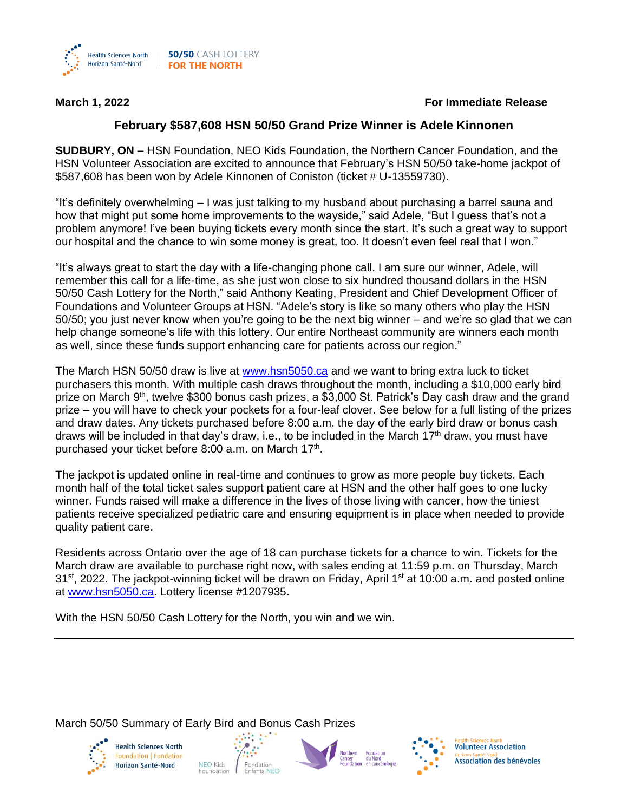

## **March 1, 2022 For Immediate Release**

## **February \$587,608 HSN 50/50 Grand Prize Winner is Adele Kinnonen**

**SUDBURY, ON –** HSN Foundation, NEO Kids Foundation, the Northern Cancer Foundation, and the HSN Volunteer Association are excited to announce that February's HSN 50/50 take-home jackpot of \$587,608 has been won by Adele Kinnonen of Coniston (ticket # U-13559730).

"It's definitely overwhelming – I was just talking to my husband about purchasing a barrel sauna and how that might put some home improvements to the wayside," said Adele, "But I guess that's not a problem anymore! I've been buying tickets every month since the start. It's such a great way to support our hospital and the chance to win some money is great, too. It doesn't even feel real that I won."

"It's always great to start the day with a life-changing phone call. I am sure our winner, Adele, will remember this call for a life-time, as she just won close to six hundred thousand dollars in the HSN 50/50 Cash Lottery for the North," said Anthony Keating, President and Chief Development Officer of Foundations and Volunteer Groups at HSN. "Adele's story is like so many others who play the HSN 50/50; you just never know when you're going to be the next big winner – and we're so glad that we can help change someone's life with this lottery. Our entire Northeast community are winners each month as well, since these funds support enhancing care for patients across our region."

The March HSN 50/50 draw is live at [www.hsn5050.ca](http://www.hsn5050.ca/) and we want to bring extra luck to ticket purchasers this month. With multiple cash draws throughout the month, including a \$10,000 early bird prize on March 9<sup>th</sup>, twelve \$300 bonus cash prizes, a \$3,000 St. Patrick's Day cash draw and the grand prize – you will have to check your pockets for a four-leaf clover. See below for a full listing of the prizes and draw dates. Any tickets purchased before 8:00 a.m. the day of the early bird draw or bonus cash draws will be included in that day's draw, i.e., to be included in the March 17<sup>th</sup> draw, you must have purchased your ticket before 8:00 a.m. on March 17<sup>th</sup>.

The jackpot is updated online in real-time and continues to grow as more people buy tickets. Each month half of the total ticket sales support patient care at HSN and the other half goes to one lucky winner. Funds raised will make a difference in the lives of those living with cancer, how the tiniest patients receive specialized pediatric care and ensuring equipment is in place when needed to provide quality patient care.

Residents across Ontario over the age of 18 can purchase tickets for a chance to win. Tickets for the March draw are available to purchase right now, with sales ending at 11:59 p.m. on Thursday, March  $31<sup>st</sup>$ , 2022. The jackpot-winning ticket will be drawn on Friday, April 1<sup>st</sup> at 10:00 a.m. and posted online at [www.hsn5050.ca.](http://www.hsn5050.ca/) Lottery license #1207935.

With the HSN 50/50 Cash Lottery for the North, you win and we win.

## March 50/50 Summary of Early Bird and Bonus Cash Prizes



**Health Sciences North** Foundation | Fondation Horizon Santé-Nord







**Volunteer Association** Association des bénévoles